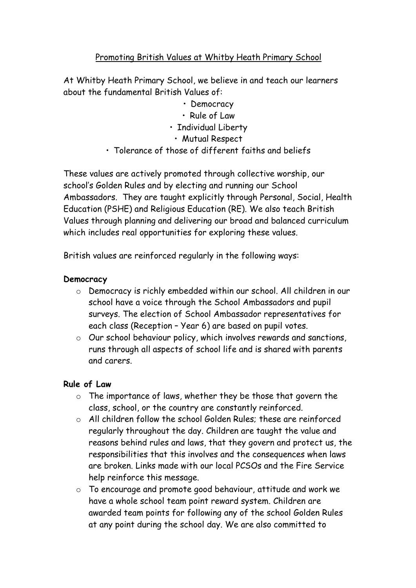# Promoting British Values at Whitby Heath Primary School

At Whitby Heath Primary School, we believe in and teach our learners about the fundamental British Values of:

- Democracy
- Rule of Law
- Individual Liberty
	- Mutual Respect
- Tolerance of those of different faiths and beliefs

These values are actively promoted through collective worship, our school's Golden Rules and by electing and running our School Ambassadors. They are taught explicitly through Personal, Social, Health Education (PSHE) and Religious Education (RE). We also teach British Values through planning and delivering our broad and balanced curriculum which includes real opportunities for exploring these values.

British values are reinforced regularly in the following ways:

### **Democracy**

- o Democracy is richly embedded within our school. All children in our school have a voice through the School Ambassadors and pupil surveys. The election of School Ambassador representatives for each class (Reception – Year 6) are based on pupil votes.
- o Our school behaviour policy, which involves rewards and sanctions, runs through all aspects of school life and is shared with parents and carers.

### **Rule of Law**

- $\circ$  The importance of laws, whether they be those that govern the class, school, or the country are constantly reinforced.
- o All children follow the school Golden Rules; these are reinforced regularly throughout the day. Children are taught the value and reasons behind rules and laws, that they govern and protect us, the responsibilities that this involves and the consequences when laws are broken. Links made with our local PCSOs and the Fire Service help reinforce this message.
- o To encourage and promote good behaviour, attitude and work we have a whole school team point reward system. Children are awarded team points for following any of the school Golden Rules at any point during the school day. We are also committed to